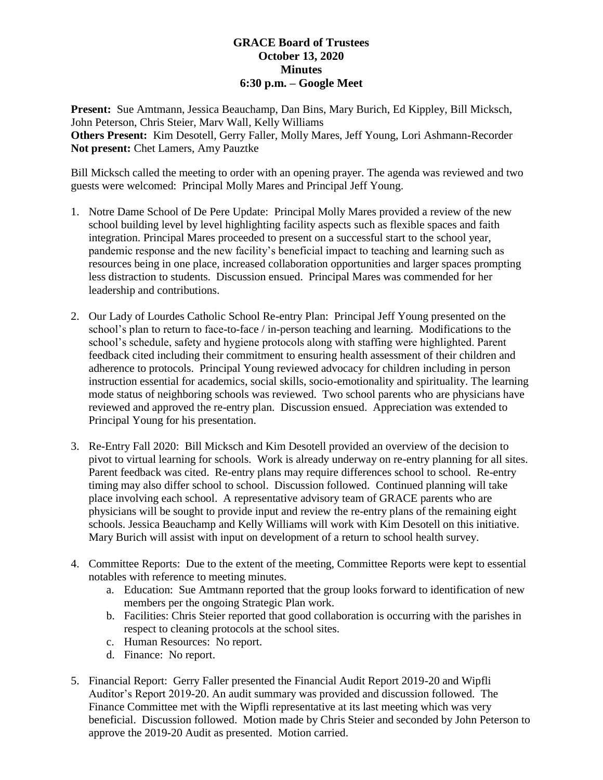## **GRACE Board of Trustees October 13, 2020 Minutes 6:30 p.m. – Google Meet**

**Present:** Sue Amtmann, Jessica Beauchamp, Dan Bins, Mary Burich, Ed Kippley, Bill Micksch, John Peterson, Chris Steier, Marv Wall, Kelly Williams **Others Present:** Kim Desotell, Gerry Faller, Molly Mares, Jeff Young, Lori Ashmann-Recorder **Not present:** Chet Lamers, Amy Pauztke

Bill Micksch called the meeting to order with an opening prayer. The agenda was reviewed and two guests were welcomed: Principal Molly Mares and Principal Jeff Young.

- 1. Notre Dame School of De Pere Update: Principal Molly Mares provided a review of the new school building level by level highlighting facility aspects such as flexible spaces and faith integration. Principal Mares proceeded to present on a successful start to the school year, pandemic response and the new facility's beneficial impact to teaching and learning such as resources being in one place, increased collaboration opportunities and larger spaces prompting less distraction to students. Discussion ensued. Principal Mares was commended for her leadership and contributions.
- 2. Our Lady of Lourdes Catholic School Re-entry Plan: Principal Jeff Young presented on the school's plan to return to face-to-face / in-person teaching and learning. Modifications to the school's schedule, safety and hygiene protocols along with staffing were highlighted. Parent feedback cited including their commitment to ensuring health assessment of their children and adherence to protocols. Principal Young reviewed advocacy for children including in person instruction essential for academics, social skills, socio-emotionality and spirituality. The learning mode status of neighboring schools was reviewed. Two school parents who are physicians have reviewed and approved the re-entry plan. Discussion ensued. Appreciation was extended to Principal Young for his presentation.
- 3. Re-Entry Fall 2020: Bill Micksch and Kim Desotell provided an overview of the decision to pivot to virtual learning for schools. Work is already underway on re-entry planning for all sites. Parent feedback was cited. Re-entry plans may require differences school to school. Re-entry timing may also differ school to school. Discussion followed. Continued planning will take place involving each school. A representative advisory team of GRACE parents who are physicians will be sought to provide input and review the re-entry plans of the remaining eight schools. Jessica Beauchamp and Kelly Williams will work with Kim Desotell on this initiative. Mary Burich will assist with input on development of a return to school health survey.
- 4. Committee Reports: Due to the extent of the meeting, Committee Reports were kept to essential notables with reference to meeting minutes.
	- a. Education: Sue Amtmann reported that the group looks forward to identification of new members per the ongoing Strategic Plan work.
	- b. Facilities: Chris Steier reported that good collaboration is occurring with the parishes in respect to cleaning protocols at the school sites.
	- c. Human Resources: No report.
	- d. Finance: No report.
- 5. Financial Report: Gerry Faller presented the Financial Audit Report 2019-20 and Wipfli Auditor's Report 2019-20. An audit summary was provided and discussion followed. The Finance Committee met with the Wipfli representative at its last meeting which was very beneficial. Discussion followed. Motion made by Chris Steier and seconded by John Peterson to approve the 2019-20 Audit as presented. Motion carried.